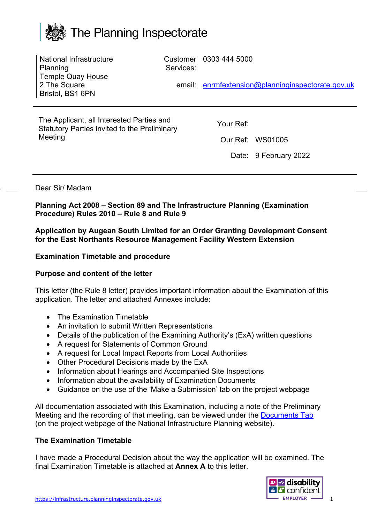

| National Infrastructure<br>Planning<br><b>Temple Quay House</b><br>2 The Square<br>Bristol, BS1 6PN  | Services:<br>email: | Customer 0303 444 5000 | enrmfextension@planninginspectorate.gov.uk |
|------------------------------------------------------------------------------------------------------|---------------------|------------------------|--------------------------------------------|
| The Applicant, all Interested Parties and<br>Statutory Parties invited to the Preliminary<br>Meeting |                     | Your Ref:              | Our Ref: WS01005<br>Date: 9 February 2022  |

### Dear Sir/ Madam

**Planning Act 2008 – Section 89 and The Infrastructure Planning (Examination Procedure) Rules 2010 – Rule 8 and Rule 9** 

**Application by Augean South Limited for an Order Granting Development Consent for the East Northants Resource Management Facility Western Extension**

#### **Examination Timetable and procedure**

#### **Purpose and content of the letter**

This letter (the Rule 8 letter) provides important information about the Examination of this application. The letter and attached Annexes include:

- The Examination Timetable
- An invitation to submit Written Representations
- Details of the publication of the Examining Authority's (ExA) written questions
- A request for Statements of Common Ground
- A request for Local Impact Reports from Local Authorities
- Other Procedural Decisions made by the ExA
- Information about Hearings and Accompanied Site Inspections
- Information about the availability of Examination Documents
- Guidance on the use of the 'Make a Submission' tab on the project webpage

All documentation associated with this Examination, including a note of the Preliminary Meeting and the recording of that meeting, can be viewed under the [Documents Tab](https://infrastructure.planninginspectorate.gov.uk/projects/east-midlands/east-northants-resource-management-facility-western-extension/?ipcsection=docs) (on the project webpage of the National Infrastructure Planning website).

#### **The Examination Timetable**

I have made a Procedural Decision about the way the application will be examined. The final Examination Timetable is attached at **Annex A** to this letter.

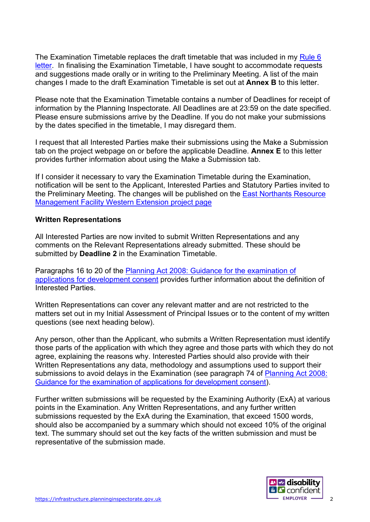The Examination Timetable replaces the draft timetable that was included in my [Rule 6](https://infrastructure.planninginspectorate.gov.uk/wp-content/ipc/uploads/projects/WS010005/WS010005-000400-East%20Northants%20Rule%206%20holding%20letter.pdf)  [letter.](https://infrastructure.planninginspectorate.gov.uk/wp-content/ipc/uploads/projects/WS010005/WS010005-000400-East%20Northants%20Rule%206%20holding%20letter.pdf) In finalising the Examination Timetable, I have sought to accommodate requests and suggestions made orally or in writing to the Preliminary Meeting. A list of the main changes I made to the draft Examination Timetable is set out at **Annex B** to this letter.

Please note that the Examination Timetable contains a number of Deadlines for receipt of information by the Planning Inspectorate. All Deadlines are at 23:59 on the date specified. Please ensure submissions arrive by the Deadline. If you do not make your submissions by the dates specified in the timetable, I may disregard them.

I request that all Interested Parties make their submissions using the Make a Submission tab on the project webpage on or before the applicable Deadline. **Annex E** to this letter provides further information about using the Make a Submission tab.

If I consider it necessary to vary the Examination Timetable during the Examination, notification will be sent to the Applicant, Interested Parties and Statutory Parties invited to the Preliminary Meeting. The changes will be published on the [East Northants Resource](https://infrastructure.planninginspectorate.gov.uk/projects/East%20Midlands/East-Northants-Resource-Management-Facility-Western-Extension/)  [Management Facility Western Extension project page](https://infrastructure.planninginspectorate.gov.uk/projects/East%20Midlands/East-Northants-Resource-Management-Facility-Western-Extension/)

#### **Written Representations**

All Interested Parties are now invited to submit Written Representations and any comments on the Relevant Representations already submitted. These should be submitted by **Deadline 2** in the Examination Timetable.

Paragraphs 16 to 20 of the [Planning Act 2008: Guidance for the examination of](https://assets.publishing.service.gov.uk/government/uploads/system/uploads/attachment_data/file/418015/examinations_guidance-__final_for_publication.pdf)  [applications for development consent](https://assets.publishing.service.gov.uk/government/uploads/system/uploads/attachment_data/file/418015/examinations_guidance-__final_for_publication.pdf) provides further information about the definition of Interested Parties.

Written Representations can cover any relevant matter and are not restricted to the matters set out in my Initial Assessment of Principal Issues or to the content of my written questions (see next heading below).

Any person, other than the Applicant, who submits a Written Representation must identify those parts of the application with which they agree and those parts with which they do not agree, explaining the reasons why. Interested Parties should also provide with their Written Representations any data, methodology and assumptions used to support their submissions to avoid delays in the Examination (see paragraph 74 of Planning Act 2008: [Guidance for the examination of applications for development consent\)](https://www.gov.uk/government/publications/planning-act-2008-examination-of-applications-for-development-consent).

Further written submissions will be requested by the Examining Authority (ExA) at various points in the Examination. Any Written Representations, and any further written submissions requested by the ExA during the Examination, that exceed 1500 words, should also be accompanied by a summary which should not exceed 10% of the original text. The summary should set out the key facts of the written submission and must be representative of the submission made.

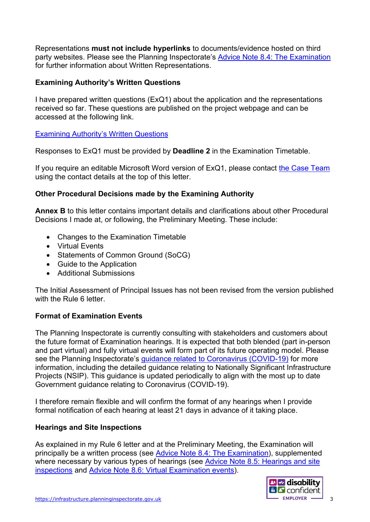Representations **must not include hyperlinks** to documents/evidence hosted on third party websites. Please see the Planning Inspectorate's [Advice Note 8.4: The Examination](https://infrastructure.planninginspectorate.gov.uk/legislation-and-advice/advice-notes/advice-note-8-4-the-examination/) for further information about Written Representations.

### **Examining Authority's Written Questions**

I have prepared written questions (ExQ1) about the application and the representations received so far. These questions are published on the project webpage and can be accessed at the following link.

[Examining Authority's Written Questions](http://infrastructure.planninginspectorate.gov.uk/document/WS010005-000432)

Responses to ExQ1 must be provided by **Deadline 2** in the Examination Timetable.

If you require an editable Microsoft Word version of ExQ1, please contact [the Case Team](mailto:enrmfextension@planninginspectorate.gov.uk)  using the contact details at the top of this letter.

## **Other Procedural Decisions made by the Examining Authority**

**Annex B** to this letter contains important details and clarifications about other Procedural Decisions I made at, or following, the Preliminary Meeting. These include:

- Changes to the Examination Timetable
- Virtual Events
- Statements of Common Ground (SoCG)
- Guide to the Application
- Additional Submissions

The Initial Assessment of Principal Issues has not been revised from the version published with the Rule 6 letter.

## **Format of Examination Events**

The Planning Inspectorate is currently consulting with stakeholders and customers about the future format of Examination hearings. It is expected that both blended (part in-person and part virtual) and fully virtual events will form part of its future operating model. Please see the Planning Inspectorate's [guidance related to Coronavirus \(COVID-19\)](https://www.gov.uk/guidance/coronavirus-covid-19-planning-inspectorate-guidance) for more information, including the detailed guidance relating to Nationally Significant Infrastructure Projects (NSIP). This guidance is updated periodically to align with the most up to date Government guidance relating to Coronavirus (COVID-19).

I therefore remain flexible and will confirm the format of any hearings when I provide formal notification of each hearing at least 21 days in advance of it taking place.

#### **Hearings and Site Inspections**

As explained in my Rule 6 letter and at the Preliminary Meeting, the Examination will principally be a written process (see [Advice Note 8.4: The Examination\)](https://infrastructure.planninginspectorate.gov.uk/legislation-and-advice/advice-notes/advice-note-8-4-the-examination/), supplemented where necessary by various types of hearings (see [Advice Note 8.5: Hearings and site](https://infrastructure.planninginspectorate.gov.uk/legislation-and-advice/advice-notes/advice-note-8-5-the-examination-hearings-and-site-inspections/)  [inspections](https://infrastructure.planninginspectorate.gov.uk/legislation-and-advice/advice-notes/advice-note-8-5-the-examination-hearings-and-site-inspections/) and [Advice Note 8.6: Virtual Examination events\)](https://infrastructure.planninginspectorate.gov.uk/legislation-and-advice/advice-notes/advice-note-8-6-virtual-examination-events/).

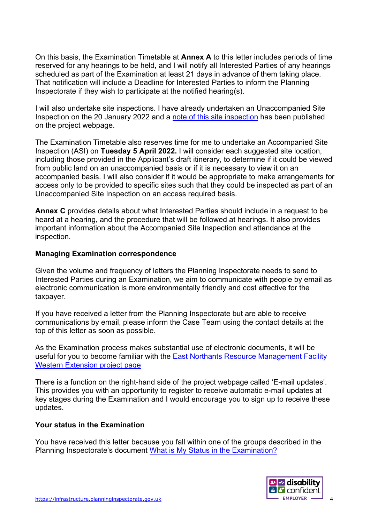On this basis, the Examination Timetable at **Annex A** to this letter includes periods of time reserved for any hearings to be held, and I will notify all Interested Parties of any hearings scheduled as part of the Examination at least 21 days in advance of them taking place. That notification will include a Deadline for Interested Parties to inform the Planning Inspectorate if they wish to participate at the notified hearing(s).

I will also undertake site inspections. I have already undertaken an Unaccompanied Site Inspection on the 20 January 2022 and a [note of this site inspection](https://horizonweb.planninginspectorate.gov.uk/webdav/nodes/46159787/note%20of%20the%20site%20inspection) has been published on the project webpage.

The Examination Timetable also reserves time for me to undertake an Accompanied Site Inspection (ASI) on **Tuesday 5 April 2022.** I will consider each suggested site location, including those provided in the Applicant's draft itinerary, to determine if it could be viewed from public land on an unaccompanied basis or if it is necessary to view it on an accompanied basis. I will also consider if it would be appropriate to make arrangements for access only to be provided to specific sites such that they could be inspected as part of an Unaccompanied Site Inspection on an access required basis.

**Annex C** provides details about what Interested Parties should include in a request to be heard at a hearing, and the procedure that will be followed at hearings. It also provides important information about the Accompanied Site Inspection and attendance at the inspection.

#### **Managing Examination correspondence**

Given the volume and frequency of letters the Planning Inspectorate needs to send to Interested Parties during an Examination, we aim to communicate with people by email as electronic communication is more environmentally friendly and cost effective for the taxpayer.

If you have received a letter from the Planning Inspectorate but are able to receive communications by email, please inform the Case Team using the contact details at the top of this letter as soon as possible.

As the Examination process makes substantial use of electronic documents, it will be useful for you to become familiar with the [East Northants Resource Management Facility](https://infrastructure.planninginspectorate.gov.uk/projects/East%20Midlands/East-Northants-Resource-Management-Facility-Western-Extension/)  [Western Extension project page](https://infrastructure.planninginspectorate.gov.uk/projects/East%20Midlands/East-Northants-Resource-Management-Facility-Western-Extension/)

There is a function on the right-hand side of the project webpage called 'E-mail updates'. This provides you with an opportunity to register to receive automatic e-mail updates at key stages during the Examination and I would encourage you to sign up to receive these updates.

#### **Your status in the Examination**

You have received this letter because you fall within one of the groups described in the Planning Inspectorate's document [What is My Status in the Examination?](https://infrastructure.planninginspectorate.gov.uk/application-process/frequently-asked-questions/status-in-examination-faq/#table)

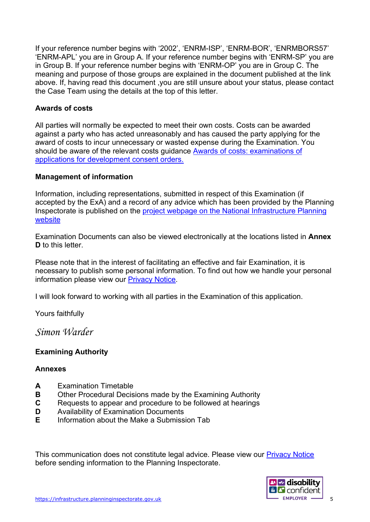If your reference number begins with '2002', 'ENRM-ISP', 'ENRM-BOR', 'ENRMBORS57' 'ENRM-APL' you are in Group A. If your reference number begins with 'ENRM-SP' you are in Group B. If your reference number begins with 'ENRM-OP' you are in Group C. The meaning and purpose of those groups are explained in the document published at the link above. If, having read this document ,you are still unsure about your status, please contact the Case Team using the details at the top of this letter.

## **Awards of costs**

All parties will normally be expected to meet their own costs. Costs can be awarded against a party who has acted unreasonably and has caused the party applying for the award of costs to incur unnecessary or wasted expense during the Examination. You should be aware of the relevant costs guidance [Awards of costs:](https://www.gov.uk/government/publications/awards-of-costs-examinations-of-applications-for-development-consent-orders) examinations of [applications for development consent orders.](https://www.gov.uk/government/publications/awards-of-costs-examinations-of-applications-for-development-consent-orders)

#### **Management of information**

Information, including representations, submitted in respect of this Examination (if accepted by the ExA) and a record of any advice which has been provided by the Planning Inspectorate is published on the [project webpage on the National Infrastructure Planning](https://infrastructure.planninginspectorate.gov.uk/projects/east-midlands/east-northants-resource-management-facility-western-extension/?ipcsection=overview)  [website](https://infrastructure.planninginspectorate.gov.uk/projects/east-midlands/east-northants-resource-management-facility-western-extension/?ipcsection=overview)

Examination Documents can also be viewed electronically at the locations listed in **Annex D** to this letter.

Please note that in the interest of facilitating an effective and fair Examination, it is necessary to publish some personal information. To find out how we handle your personal information please view our [Privacy Notice.](https://www.gov.uk/government/publications/planning-inspectorate-privacy-notices/customer-privacy-notice)

I will look forward to working with all parties in the Examination of this application.

Yours faithfully

*Simon Warder*

## **Examining Authority**

#### **Annexes**

- **A** Examination Timetable<br>**B** Other Procedural Decis
- **Other Procedural Decisions made by the Examining Authority**
- **C** Requests to appear and procedure to be followed at hearings
- **D** Availability of Examination Documents
- **E** Information about the Make a Submission Tab

This communication does not constitute legal advice. Please view our [Privacy Notice](https://www.gov.uk/government/publications/planning-inspectorate-privacy-notices/customer-privacy-notice) before sending information to the Planning Inspectorate.

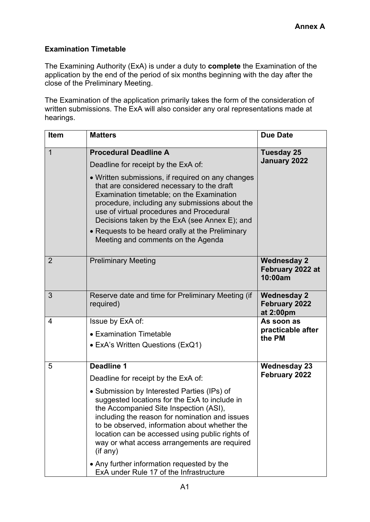# **Examination Timetable**

The Examining Authority (ExA) is under a duty to **complete** the Examination of the application by the end of the period of six months beginning with the day after the close of the Preliminary Meeting.

The Examination of the application primarily takes the form of the consideration of written submissions. The ExA will also consider any oral representations made at hearings.

| <b>Item</b>    | <b>Matters</b>                                                                                                                                                                                                                                                                                                                                            | <b>Due Date</b>                                   |  |
|----------------|-----------------------------------------------------------------------------------------------------------------------------------------------------------------------------------------------------------------------------------------------------------------------------------------------------------------------------------------------------------|---------------------------------------------------|--|
| $\overline{1}$ | <b>Procedural Deadline A</b>                                                                                                                                                                                                                                                                                                                              | <b>Tuesday 25</b>                                 |  |
|                | Deadline for receipt by the ExA of:                                                                                                                                                                                                                                                                                                                       | <b>January 2022</b>                               |  |
|                | • Written submissions, if required on any changes<br>that are considered necessary to the draft<br>Examination timetable; on the Examination<br>procedure, including any submissions about the<br>use of virtual procedures and Procedural<br>Decisions taken by the ExA (see Annex E); and                                                               |                                                   |  |
|                | • Requests to be heard orally at the Preliminary<br>Meeting and comments on the Agenda                                                                                                                                                                                                                                                                    |                                                   |  |
| $\overline{2}$ | <b>Preliminary Meeting</b>                                                                                                                                                                                                                                                                                                                                | <b>Wednesday 2</b><br>February 2022 at<br>10:00am |  |
| 3              | Reserve date and time for Preliminary Meeting (if<br>required)                                                                                                                                                                                                                                                                                            | <b>Wednesday 2</b><br>February 2022<br>at 2:00pm  |  |
| 4              | Issue by ExA of:                                                                                                                                                                                                                                                                                                                                          | As soon as                                        |  |
|                | • Examination Timetable                                                                                                                                                                                                                                                                                                                                   | practicable after<br>the PM                       |  |
|                | • ExA's Written Questions (ExQ1)                                                                                                                                                                                                                                                                                                                          |                                                   |  |
| 5              | <b>Deadline 1</b>                                                                                                                                                                                                                                                                                                                                         | <b>Wednesday 23</b>                               |  |
|                | Deadline for receipt by the ExA of:                                                                                                                                                                                                                                                                                                                       | February 2022                                     |  |
|                | • Submission by Interested Parties (IPs) of<br>suggested locations for the ExA to include in<br>the Accompanied Site Inspection (ASI),<br>including the reason for nomination and issues<br>to be observed, information about whether the<br>location can be accessed using public rights of<br>way or what access arrangements are required<br>(i f any) |                                                   |  |
|                | • Any further information requested by the<br>ExA under Rule 17 of the Infrastructure                                                                                                                                                                                                                                                                     |                                                   |  |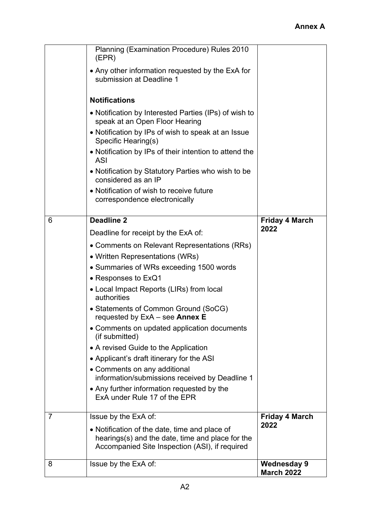|                | Planning (Examination Procedure) Rules 2010<br>(EPR)                                              |                                         |
|----------------|---------------------------------------------------------------------------------------------------|-----------------------------------------|
|                | • Any other information requested by the ExA for<br>submission at Deadline 1                      |                                         |
|                | <b>Notifications</b>                                                                              |                                         |
|                | • Notification by Interested Parties (IPs) of wish to<br>speak at an Open Floor Hearing           |                                         |
|                | • Notification by IPs of wish to speak at an Issue<br>Specific Hearing(s)                         |                                         |
|                | • Notification by IPs of their intention to attend the<br><b>ASI</b>                              |                                         |
|                | • Notification by Statutory Parties who wish to be<br>considered as an IP                         |                                         |
|                | • Notification of wish to receive future<br>correspondence electronically                         |                                         |
| 6              | <b>Deadline 2</b>                                                                                 | <b>Friday 4 March</b>                   |
|                | Deadline for receipt by the ExA of:                                                               | 2022                                    |
|                | • Comments on Relevant Representations (RRs)                                                      |                                         |
|                | • Written Representations (WRs)                                                                   |                                         |
|                | • Summaries of WRs exceeding 1500 words                                                           |                                         |
|                | $\bullet$ Responses to ExQ1                                                                       |                                         |
|                | • Local Impact Reports (LIRs) from local<br>authorities                                           |                                         |
|                | • Statements of Common Ground (SoCG)<br>requested by ExA - see Annex E                            |                                         |
|                | • Comments on updated application documents<br>(if submitted)                                     |                                         |
|                | • A revised Guide to the Application                                                              |                                         |
|                | • Applicant's draft itinerary for the ASI                                                         |                                         |
|                | • Comments on any additional<br>information/submissions received by Deadline 1                    |                                         |
|                | • Any further information requested by the<br>ExA under Rule 17 of the EPR                        |                                         |
| $\overline{7}$ | Issue by the ExA of:                                                                              | <b>Friday 4 March</b>                   |
|                | • Notification of the date, time and place of<br>hearings(s) and the date, time and place for the | 2022                                    |
|                | Accompanied Site Inspection (ASI), if required                                                    |                                         |
| 8              | Issue by the ExA of:                                                                              | <b>Wednesday 9</b><br><b>March 2022</b> |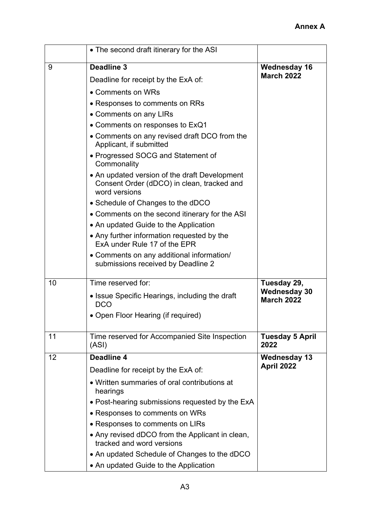|    | • The second draft itinerary for the ASI                                                                     |                                          |  |
|----|--------------------------------------------------------------------------------------------------------------|------------------------------------------|--|
| 9  | <b>Deadline 3</b><br>Deadline for receipt by the ExA of:                                                     | <b>Wednesday 16</b><br><b>March 2022</b> |  |
|    | • Comments on WRs                                                                                            |                                          |  |
|    | • Responses to comments on RRs                                                                               |                                          |  |
|    | • Comments on any LIRs                                                                                       |                                          |  |
|    | • Comments on responses to ExQ1                                                                              |                                          |  |
|    | • Comments on any revised draft DCO from the<br>Applicant, if submitted                                      |                                          |  |
|    | • Progressed SOCG and Statement of<br>Commonality                                                            |                                          |  |
|    | • An updated version of the draft Development<br>Consent Order (dDCO) in clean, tracked and<br>word versions |                                          |  |
|    | • Schedule of Changes to the dDCO                                                                            |                                          |  |
|    | • Comments on the second itinerary for the ASI                                                               |                                          |  |
|    | • An updated Guide to the Application                                                                        |                                          |  |
|    | • Any further information requested by the<br>ExA under Rule 17 of the EPR                                   |                                          |  |
|    | • Comments on any additional information/<br>submissions received by Deadline 2                              |                                          |  |
| 10 | Time reserved for:                                                                                           | Tuesday 29,                              |  |
|    | • Issue Specific Hearings, including the draft<br><b>DCO</b>                                                 | <b>Wednesday 30</b><br><b>March 2022</b> |  |
|    | • Open Floor Hearing (if required)                                                                           |                                          |  |
| 11 | Time reserved for Accompanied Site Inspection<br>(ASI)                                                       | <b>Tuesday 5 April</b><br>2022           |  |
| 12 | Deadline 4                                                                                                   | <b>Wednesday 13</b>                      |  |
|    | Deadline for receipt by the ExA of:                                                                          | April 2022                               |  |
|    | • Written summaries of oral contributions at<br>hearings                                                     |                                          |  |
|    | • Post-hearing submissions requested by the ExA                                                              |                                          |  |
|    | • Responses to comments on WRs                                                                               |                                          |  |
|    | • Responses to comments on LIRs                                                                              |                                          |  |
|    | • Any revised dDCO from the Applicant in clean,<br>tracked and word versions                                 |                                          |  |
|    | • An updated Schedule of Changes to the dDCO<br>• An updated Guide to the Application                        |                                          |  |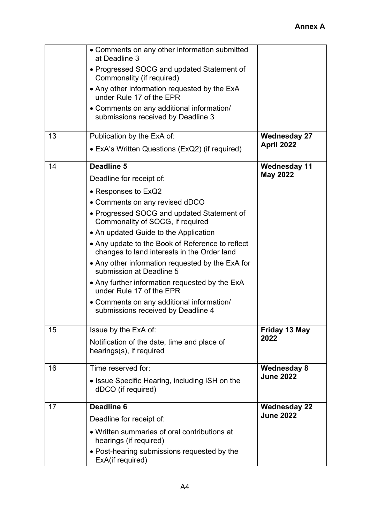|    | • Comments on any other information submitted<br>at Deadline 3<br>• Progressed SOCG and updated Statement of<br>Commonality (if required)<br>• Any other information requested by the ExA<br>under Rule 17 of the EPR<br>• Comments on any additional information/<br>submissions received by Deadline 3                                                                                                                                                                                                                                                                       |                                         |
|----|--------------------------------------------------------------------------------------------------------------------------------------------------------------------------------------------------------------------------------------------------------------------------------------------------------------------------------------------------------------------------------------------------------------------------------------------------------------------------------------------------------------------------------------------------------------------------------|-----------------------------------------|
| 13 | Publication by the ExA of:<br>• ExA's Written Questions (ExQ2) (if required)                                                                                                                                                                                                                                                                                                                                                                                                                                                                                                   | <b>Wednesday 27</b><br>April 2022       |
| 14 | Deadline 5<br>Deadline for receipt of:<br>• Responses to ExQ2<br>• Comments on any revised dDCO<br>• Progressed SOCG and updated Statement of<br>Commonality of SOCG, if required<br>• An updated Guide to the Application<br>• Any update to the Book of Reference to reflect<br>changes to land interests in the Order land<br>• Any other information requested by the ExA for<br>submission at Deadline 5<br>• Any further information requested by the ExA<br>under Rule 17 of the EPR<br>• Comments on any additional information/<br>submissions received by Deadline 4 | <b>Wednesday 11</b><br><b>May 2022</b>  |
| 15 | Issue by the ExA of:<br>Notification of the date, time and place of<br>hearings(s), if required                                                                                                                                                                                                                                                                                                                                                                                                                                                                                | Friday 13 May<br>2022                   |
| 16 | Time reserved for:<br>• Issue Specific Hearing, including ISH on the<br>dDCO (if required)                                                                                                                                                                                                                                                                                                                                                                                                                                                                                     | <b>Wednesday 8</b><br><b>June 2022</b>  |
| 17 | Deadline 6<br>Deadline for receipt of:<br>• Written summaries of oral contributions at<br>hearings (if required)<br>• Post-hearing submissions requested by the<br>ExA(if required)                                                                                                                                                                                                                                                                                                                                                                                            | <b>Wednesday 22</b><br><b>June 2022</b> |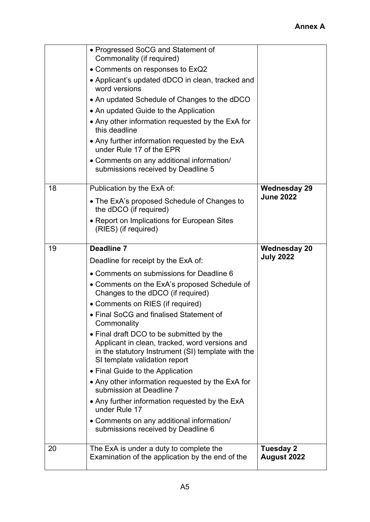|    | • Progressed SoCG and Statement of<br>Commonality (if required)<br>• Comments on responses to ExQ2<br>• Applicant's updated dDCO in clean, tracked and<br>word versions<br>• An updated Schedule of Changes to the dDCO<br>• An updated Guide to the Application<br>• Any other information requested by the ExA for<br>this deadline<br>• Any further information requested by the ExA<br>under Rule 17 of the EPR<br>• Comments on any additional information/<br>submissions received by Deadline 5 |                                         |
|----|--------------------------------------------------------------------------------------------------------------------------------------------------------------------------------------------------------------------------------------------------------------------------------------------------------------------------------------------------------------------------------------------------------------------------------------------------------------------------------------------------------|-----------------------------------------|
| 18 | Publication by the ExA of:                                                                                                                                                                                                                                                                                                                                                                                                                                                                             | <b>Wednesday 29</b><br><b>June 2022</b> |
|    | • The ExA's proposed Schedule of Changes to<br>the dDCO (if required)                                                                                                                                                                                                                                                                                                                                                                                                                                  |                                         |
|    | • Report on Implications for European Sites<br>(RIES) (if required)                                                                                                                                                                                                                                                                                                                                                                                                                                    |                                         |
| 19 | Deadline 7                                                                                                                                                                                                                                                                                                                                                                                                                                                                                             | <b>Wednesday 20</b>                     |
|    | Deadline for receipt by the ExA of:                                                                                                                                                                                                                                                                                                                                                                                                                                                                    | <b>July 2022</b>                        |
|    |                                                                                                                                                                                                                                                                                                                                                                                                                                                                                                        |                                         |
|    | • Comments on submissions for Deadline 6                                                                                                                                                                                                                                                                                                                                                                                                                                                               |                                         |
|    | • Comments on the ExA's proposed Schedule of<br>Changes to the dDCO (if required)                                                                                                                                                                                                                                                                                                                                                                                                                      |                                         |
|    | • Comments on RIES (if required)                                                                                                                                                                                                                                                                                                                                                                                                                                                                       |                                         |
|    | • Final SoCG and finalised Statement of<br>Commonality                                                                                                                                                                                                                                                                                                                                                                                                                                                 |                                         |
|    | • Final draft DCO to be submitted by the<br>Applicant in clean, tracked, word versions and<br>in the statutory Instrument (SI) template with the<br>SI template validation report                                                                                                                                                                                                                                                                                                                      |                                         |
|    | • Final Guide to the Application                                                                                                                                                                                                                                                                                                                                                                                                                                                                       |                                         |
|    | • Any other information requested by the ExA for<br>submission at Deadline 7                                                                                                                                                                                                                                                                                                                                                                                                                           |                                         |
|    | • Any further information requested by the ExA<br>under Rule 17                                                                                                                                                                                                                                                                                                                                                                                                                                        |                                         |
|    | • Comments on any additional information/<br>submissions received by Deadline 6                                                                                                                                                                                                                                                                                                                                                                                                                        |                                         |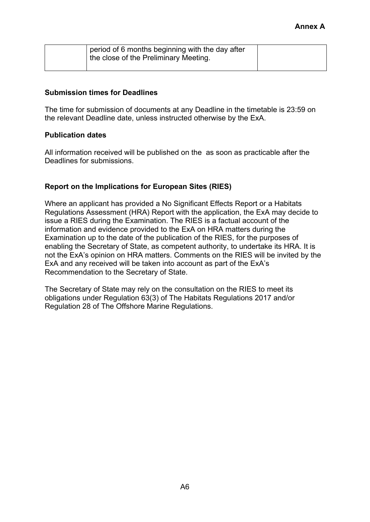| period of 6 months beginning with the day after<br>the close of the Preliminary Meeting. |  |
|------------------------------------------------------------------------------------------|--|
|                                                                                          |  |

### **Submission times for Deadlines**

The time for submission of documents at any Deadline in the timetable is 23:59 on the relevant Deadline date, unless instructed otherwise by the ExA.

### **Publication dates**

All information received will be published on the as soon as practicable after the Deadlines for submissions.

## **Report on the Implications for European Sites (RIES)**

Where an applicant has provided a No Significant Effects Report or a Habitats Regulations Assessment (HRA) Report with the application, the ExA may decide to issue a RIES during the Examination. The RIES is a factual account of the information and evidence provided to the ExA on HRA matters during the Examination up to the date of the publication of the RIES, for the purposes of enabling the Secretary of State, as competent authority, to undertake its HRA. It is not the ExA's opinion on HRA matters. Comments on the RIES will be invited by the ExA and any received will be taken into account as part of the ExA's Recommendation to the Secretary of State.

The Secretary of State may rely on the consultation on the RIES to meet its obligations under Regulation 63(3) of The Habitats Regulations 2017 and/or Regulation 28 of The Offshore Marine Regulations.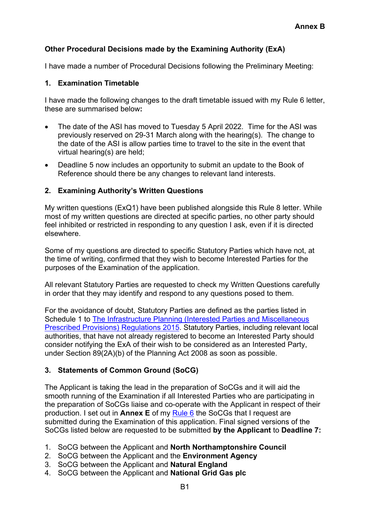# **Other Procedural Decisions made by the Examining Authority (ExA)**

I have made a number of Procedural Decisions following the Preliminary Meeting:

### **1. Examination Timetable**

I have made the following changes to the draft timetable issued with my Rule 6 letter, these are summarised below**:**

- The date of the ASI has moved to Tuesday 5 April 2022. Time for the ASI was previously reserved on 29-31 March along with the hearing(s). The change to the date of the ASI is allow parties time to travel to the site in the event that virtual hearing(s) are held;
- Deadline 5 now includes an opportunity to submit an update to the Book of Reference should there be any changes to relevant land interests.

## **2. Examining Authority's Written Questions**

My written questions (ExQ1) have been published alongside this Rule 8 letter. While most of my written questions are directed at specific parties, no other party should feel inhibited or restricted in responding to any question I ask, even if it is directed elsewhere.

Some of my questions are directed to specific Statutory Parties which have not, at the time of writing, confirmed that they wish to become Interested Parties for the purposes of the Examination of the application.

All relevant Statutory Parties are requested to check my Written Questions carefully in order that they may identify and respond to any questions posed to them.

For the avoidance of doubt, Statutory Parties are defined as the parties listed in Schedule 1 to [The Infrastructure Planning \(Interested Parties and Miscellaneous](https://www.legislation.gov.uk/uksi/2015/462/contents/made)  [Prescribed Provisions\) Regulations 2015.](https://www.legislation.gov.uk/uksi/2015/462/contents/made) Statutory Parties, including relevant local authorities, that have not already registered to become an Interested Party should consider notifying the ExA of their wish to be considered as an Interested Party, under Section 89(2A)(b) of the Planning Act 2008 as soon as possible.

## **3. Statements of Common Ground (SoCG)**

The Applicant is taking the lead in the preparation of SoCGs and it will aid the smooth running of the Examination if all Interested Parties who are participating in the preparation of SoCGs liaise and co-operate with the Applicant in respect of their production. I set out in **Annex E** of my [Rule 6](https://infrastructure.planninginspectorate.gov.uk/wp-content/ipc/uploads/projects/WS010005/WS010005-000400-East%20Northants%20Rule%206%20holding%20letter.pdf) the SoCGs that I request are submitted during the Examination of this application. Final signed versions of the SoCGs listed below are requested to be submitted **by the Applicant** to **Deadline 7:**

- 1. SoCG between the Applicant and **North Northamptonshire Council**
- 2. SoCG between the Applicant and the **Environment Agency**
- 3. SoCG between the Applicant and **Natural England**
- 4. SoCG between the Applicant and **National Grid Gas plc**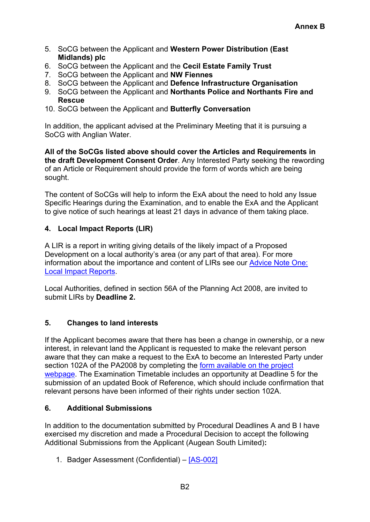- 5. SoCG between the Applicant and **Western Power Distribution (East Midlands) plc**
- 6. SoCG between the Applicant and the **Cecil Estate Family Trust**
- 7. SoCG between the Applicant and **NW Fiennes**
- 8. SoCG between the Applicant and **Defence Infrastructure Organisation**
- 9. SoCG between the Applicant and **Northants Police and Northants Fire and Rescue**
- 10. SoCG between the Applicant and **Butterfly Conversation**

In addition, the applicant advised at the Preliminary Meeting that it is pursuing a SoCG with Anglian Water.

**All of the SoCGs listed above should cover the Articles and Requirements in the draft Development Consent Order**. Any Interested Party seeking the rewording of an Article or Requirement should provide the form of words which are being sought.

The content of SoCGs will help to inform the ExA about the need to hold any Issue Specific Hearings during the Examination, and to enable the ExA and the Applicant to give notice of such hearings at least 21 days in advance of them taking place.

# **4. Local Impact Reports (LIR)**

A LIR is a report in writing giving details of the likely impact of a Proposed Development on a local authority's area (or any part of that area). For more information about the importance and content of LIRs see our [Advice Note One:](https://infrastructure.planninginspectorate.gov.uk/legislation-and-advice/advice-notes/advice-note-one-local-impact-reports/)  [Local Impact Reports.](https://infrastructure.planninginspectorate.gov.uk/legislation-and-advice/advice-notes/advice-note-one-local-impact-reports/)

Local Authorities, defined in section 56A of the Planning Act 2008, are invited to submit LIRs by **Deadline 2.**

# **5. Changes to land interests**

If the Applicant becomes aware that there has been a change in ownership, or a new interest, in relevant land the Applicant is requested to make the relevant person aware that they can make a request to the ExA to become an Interested Party under section 102A of the PA2008 by completing the [form available on the project](https://infrastructure.planninginspectorate.gov.uk/interested-party-frm.php?project=WS010005)  [webpage.](https://infrastructure.planninginspectorate.gov.uk/interested-party-frm.php?project=WS010005) The Examination Timetable includes an opportunity at Deadline 5 for the submission of an updated Book of Reference, which should include confirmation that relevant persons have been informed of their rights under section 102A.

# **6. Additional Submissions**

In addition to the documentation submitted by Procedural Deadlines A and B I have exercised my discretion and made a Procedural Decision to accept the following Additional Submissions from the Applicant (Augean South Limited)**:**

1. Badger Assessment (Confidential) - [\[AS-002\]](https://infrastructure.planninginspectorate.gov.uk/wp-content/ipc/uploads/projects/WS010005/WS010005-000426-8.4%20Badger%20Assessment%20for%20ENRMF%20-%20CONFIDENTIAL.pdf)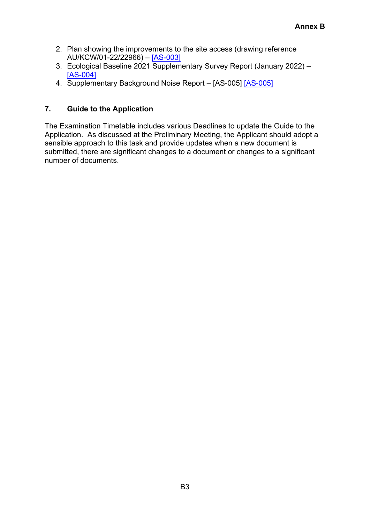- 2. Plan showing the improvements to the site access (drawing reference AU/KCW/01-22/22966) – [\[AS-003\]](https://infrastructure.planninginspectorate.gov.uk/wp-content/ipc/uploads/projects/WS010005/WS010005-000425-8.3%20Plan%20showing%20the%20improved%20site%20access%20at%20ENRMF_Redacted.pdf)
- 3. Ecological Baseline 2021 Supplementary Survey Report (January 2022) [\[AS-004\]](https://infrastructure.planninginspectorate.gov.uk/wp-content/ipc/uploads/projects/WS010005/WS010005-000423-8.1%20ENRMF%20Western%20Extension%202021%20Ecological%20survey%20updates_Redacted.pdf)
- 4. Supplementary Background Noise Report - [\[AS-005\]](https://infrastructure.planninginspectorate.gov.uk/wp-content/ipc/uploads/projects/WS010005/WS010005-000424-8.2%20ENRMF%20Western%20Extension%20Supplementary%20Noise%20Report_Redacted.pdf) [AS-005]

# **7. Guide to the Application**

The Examination Timetable includes various Deadlines to update the Guide to the Application. As discussed at the Preliminary Meeting, the Applicant should adopt a sensible approach to this task and provide updates when a new document is submitted, there are significant changes to a document or changes to a significant number of documents.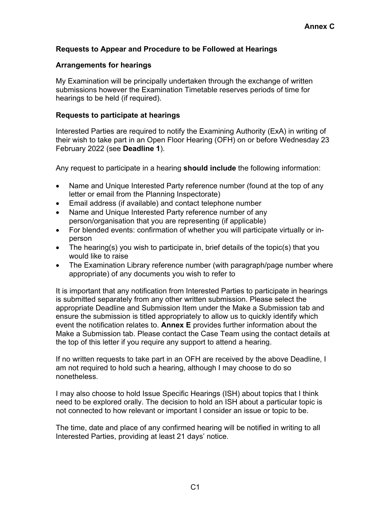# **Requests to Appear and Procedure to be Followed at Hearings**

### **Arrangements for hearings**

My Examination will be principally undertaken through the exchange of written submissions however the Examination Timetable reserves periods of time for hearings to be held (if required).

### **Requests to participate at hearings**

Interested Parties are required to notify the Examining Authority (ExA) in writing of their wish to take part in an Open Floor Hearing (OFH) on or before Wednesday 23 February 2022 (see **Deadline 1**).

Any request to participate in a hearing **should include** the following information:

- Name and Unique Interested Party reference number (found at the top of any letter or email from the Planning Inspectorate)
- Email address (if available) and contact telephone number
- Name and Unique Interested Party reference number of any person/organisation that you are representing (if applicable)
- For blended events: confirmation of whether you will participate virtually or inperson
- The hearing(s) you wish to participate in, brief details of the topic(s) that you would like to raise
- The Examination Library reference number (with paragraph/page number where appropriate) of any documents you wish to refer to

It is important that any notification from Interested Parties to participate in hearings is submitted separately from any other written submission. Please select the appropriate Deadline and Submission Item under the Make a Submission tab and ensure the submission is titled appropriately to allow us to quickly identify which event the notification relates to. **Annex E** provides further information about the Make a Submission tab. Please contact the Case Team using the contact details at the top of this letter if you require any support to attend a hearing.

If no written requests to take part in an OFH are received by the above Deadline, I am not required to hold such a hearing, although I may choose to do so nonetheless.

I may also choose to hold Issue Specific Hearings (ISH) about topics that I think need to be explored orally. The decision to hold an ISH about a particular topic is not connected to how relevant or important I consider an issue or topic to be.

The time, date and place of any confirmed hearing will be notified in writing to all Interested Parties, providing at least 21 days' notice.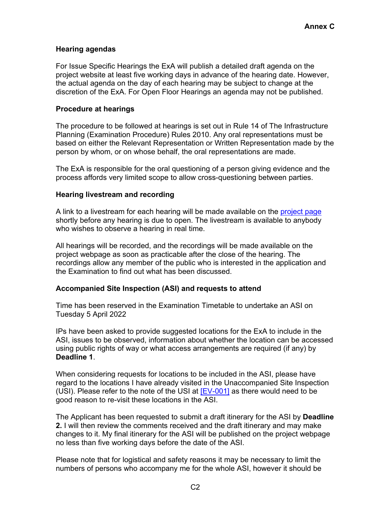## **Hearing agendas**

For Issue Specific Hearings the ExA will publish a detailed draft agenda on the project website at least five working days in advance of the hearing date. However, the actual agenda on the day of each hearing may be subject to change at the discretion of the ExA. For Open Floor Hearings an agenda may not be published.

### **Procedure at hearings**

The procedure to be followed at hearings is set out in Rule 14 of The Infrastructure Planning (Examination Procedure) Rules 2010. Any oral representations must be based on either the Relevant Representation or Written Representation made by the person by whom, or on whose behalf, the oral representations are made.

The ExA is responsible for the oral questioning of a person giving evidence and the process affords very limited scope to allow cross-questioning between parties.

### **Hearing livestream and recording**

A link to a livestream for each hearing will be made available on the [project page](https://infrastructure.planninginspectorate.gov.uk/projects/east-midlands/east-northants-resource-management-facility-western-extension/?ipcsection=docs&stage=3&filter1=Additional+Submissions) shortly before any hearing is due to open. The livestream is available to anybody who wishes to observe a hearing in real time.

All hearings will be recorded, and the recordings will be made available on the project webpage as soon as practicable after the close of the hearing. The recordings allow any member of the public who is interested in the application and the Examination to find out what has been discussed.

## **Accompanied Site Inspection (ASI) and requests to attend**

Time has been reserved in the Examination Timetable to undertake an ASI on Tuesday 5 April 2022

IPs have been asked to provide suggested locations for the ExA to include in the ASI, issues to be observed, information about whether the location can be accessed using public rights of way or what access arrangements are required (if any) by **Deadline 1**.

When considering requests for locations to be included in the ASI, please have regard to the locations I have already visited in the Unaccompanied Site Inspection (USI). Please refer to the note of the USI at [\[EV-001\]](https://infrastructure.planninginspectorate.gov.uk/wp-content/ipc/uploads/projects/WS010005/WS010005-000422-ENRMFWE%20USI1%20Note%20v1.pdf) as there would need to be good reason to re-visit these locations in the ASI.

The Applicant has been requested to submit a draft itinerary for the ASI by **Deadline 2.** I will then review the comments received and the draft itinerary and may make changes to it. My final itinerary for the ASI will be published on the project webpage no less than five working days before the date of the ASI.

Please note that for logistical and safety reasons it may be necessary to limit the numbers of persons who accompany me for the whole ASI, however it should be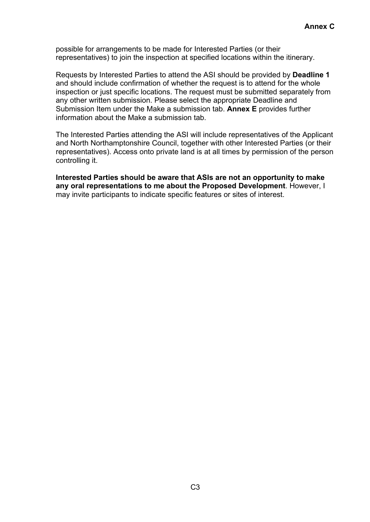possible for arrangements to be made for Interested Parties (or their representatives) to join the inspection at specified locations within the itinerary.

Requests by Interested Parties to attend the ASI should be provided by **Deadline 1** and should include confirmation of whether the request is to attend for the whole inspection or just specific locations. The request must be submitted separately from any other written submission. Please select the appropriate Deadline and Submission Item under the Make a submission tab. **Annex E** provides further information about the Make a submission tab.

The Interested Parties attending the ASI will include representatives of the Applicant and North Northamptonshire Council, together with other Interested Parties (or their representatives). Access onto private land is at all times by permission of the person controlling it.

**Interested Parties should be aware that ASIs are not an opportunity to make any oral representations to me about the Proposed Development**. However, I may invite participants to indicate specific features or sites of interest.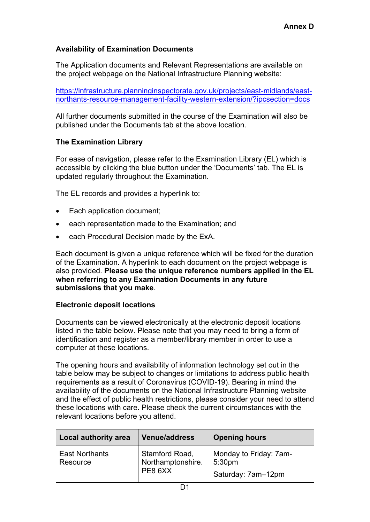# **Availability of Examination Documents**

The Application documents and Relevant Representations are available on the project webpage on the National Infrastructure Planning website:

[https://infrastructure.planninginspectorate.gov.uk/projects/east-midlands/east](https://infrastructure.planninginspectorate.gov.uk/projects/east-midlands/east-northants-resource-management-facility-western-extension/?ipcsection=docs)[northants-resource-management-facility-western-extension/?ipcsection=docs](https://infrastructure.planninginspectorate.gov.uk/projects/east-midlands/east-northants-resource-management-facility-western-extension/?ipcsection=docs)

All further documents submitted in the course of the Examination will also be published under the Documents tab at the above location.

## **The Examination Library**

For ease of navigation, please refer to the Examination Library (EL) which is accessible by clicking the blue button under the 'Documents' tab. The EL is updated regularly throughout the Examination.

The EL records and provides a hyperlink to:

- Each application document;
- each representation made to the Examination; and
- each Procedural Decision made by the ExA.

Each document is given a unique reference which will be fixed for the duration of the Examination. A hyperlink to each document on the project webpage is also provided. **Please use the unique reference numbers applied in the EL when referring to any Examination Documents in any future submissions that you make**.

#### **Electronic deposit locations**

Documents can be viewed electronically at the electronic deposit locations listed in the table below. Please note that you may need to bring a form of identification and register as a member/library member in order to use a computer at these locations.

The opening hours and availability of information technology set out in the table below may be subject to changes or limitations to address public health requirements as a result of Coronavirus (COVID-19). Bearing in mind the availability of the documents on the National Infrastructure Planning website and the effect of public health restrictions, please consider your need to attend these locations with care. Please check the current circumstances with the relevant locations before you attend.

| <b>Local authority area</b>       | <b>Venue/address</b>                             | <b>Opening hours</b>                                               |
|-----------------------------------|--------------------------------------------------|--------------------------------------------------------------------|
| <b>East Northants</b><br>Resource | Stamford Road,<br>I Northamptonshire.<br>PE8 6XX | Monday to Friday: 7am-<br>5:30 <sub>pm</sub><br>Saturday: 7am-12pm |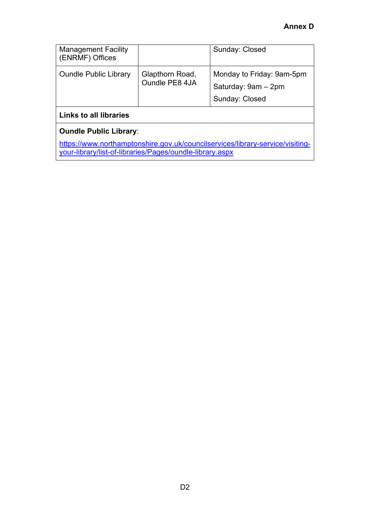| <b>Management Facility</b>    |                                   | Sunday: Closed            |
|-------------------------------|-----------------------------------|---------------------------|
| (ENRMF) Offices               |                                   |                           |
| <b>Oundle Public Library</b>  | Glapthorn Road,<br>Oundle PE8 4JA | Monday to Friday: 9am-5pm |
|                               |                                   | Saturday: 9am - 2pm       |
|                               |                                   | Sunday: Closed            |
| <b>Links to all libraries</b> |                                   |                           |

# **Oundle Public Library**:

[https://www.northamptonshire.gov.uk/councilservices/library-service/visiting](https://www.northamptonshire.gov.uk/councilservices/library-service/visiting-your-library/list-of-libraries/Pages/oundle-library.aspx)[your-library/list-of-libraries/Pages/oundle-library.aspx](https://www.northamptonshire.gov.uk/councilservices/library-service/visiting-your-library/list-of-libraries/Pages/oundle-library.aspx)